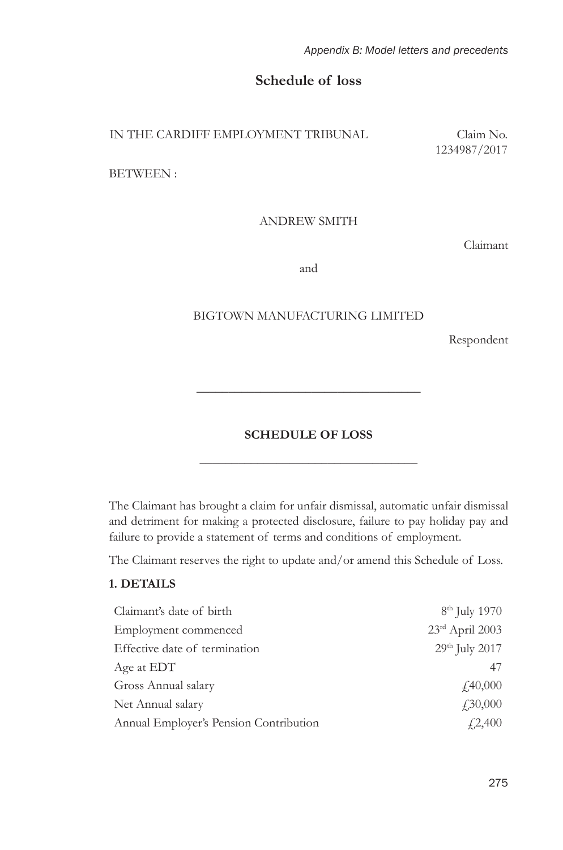*Appendix B: Model letters and precedents*

# **Schedule of loss**

IN THE CARDIFF EMPLOYMENT TRIBUNAL Claim No.

1234987/2017

BETWEEN :

ANDREW SMITH

Claimant

and

#### BIGTOWN MANUFACTURING LIMITED

Respondent

# **SCHEDULE OF LOSS**  \_\_\_\_\_\_\_\_\_\_\_\_\_\_\_\_\_\_\_\_\_\_\_\_\_\_\_\_\_\_\_\_\_\_

\_\_\_\_\_\_\_\_\_\_\_\_\_\_\_\_\_\_\_\_\_\_\_\_\_\_\_\_\_\_\_\_\_\_\_

The Claimant has brought a claim for unfair dismissal, automatic unfair dismissal and detriment for making a protected disclosure, failure to pay holiday pay and failure to provide a statement of terms and conditions of employment.

The Claimant reserves the right to update and/or amend this Schedule of Loss.

#### **1. DETAILS**

| Claimant's date of birth               | 8 <sup>th</sup> July 1970  |
|----------------------------------------|----------------------------|
| Employment commenced                   | 23rd April 2003            |
| Effective date of termination          | 29 <sup>th</sup> July 2017 |
| Age at EDT                             | 47                         |
| Gross Annual salary                    | f40,000                    |
| Net Annual salary                      | $\sqrt{.30,000}$           |
| Annual Employer's Pension Contribution | $\angle 2,400$             |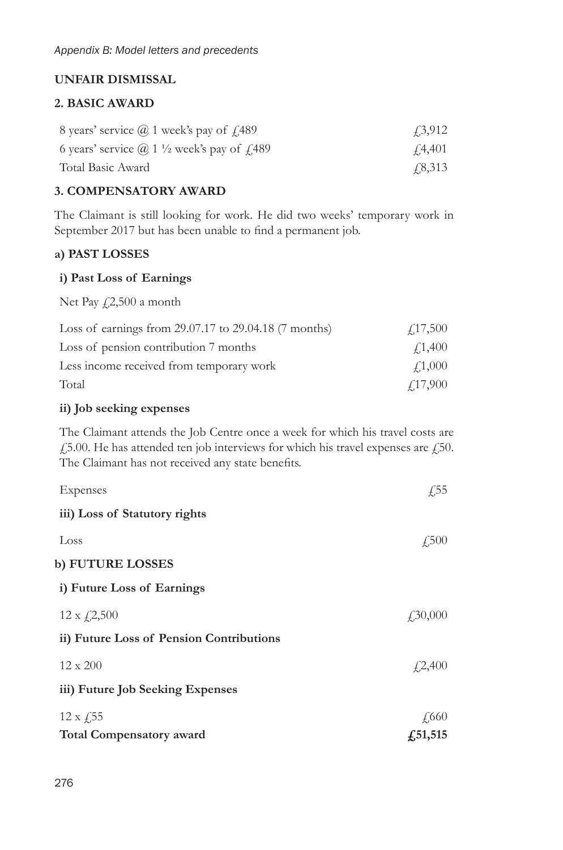# **UNFAIR DISMISSAL**

### **2. BASIC AWARD**

| 8 years' service $\omega$ 1 week's pay of $\mu$ 489                  | <i>43,912</i>  |
|----------------------------------------------------------------------|----------------|
| 6 years' service $(a)$ 1 $\frac{1}{2}$ week's pay of $\frac{1}{489}$ | 4.4.401        |
| Total Basic Award                                                    | <i>F</i> 8,313 |

## **3. COMPENSATORY AWARD**

The Claimant is still looking for work. He did two weeks' temporary work in September 2017 but has been unable to find a permanent job.

## **a) PAST LOSSES**

#### **i) Past Loss of Earnings**

Net Pay  $\sqrt{2,500}$  a month

| Loss of earnings from 29.07.17 to 29.04.18 (7 months) | $\angle 17,500$ |
|-------------------------------------------------------|-----------------|
| Loss of pension contribution 7 months                 | £1,400          |
| Less income received from temporary work              | $\angle 1,000$  |
| Total                                                 | $\angle 17,900$ |

## **ii) Job seeking expenses**

The Claimant attends the Job Centre once a week for which his travel costs are £5.00. He has attended ten job interviews for which his travel expenses are £50. The Claimant has not received any state benefits.

| Expenses                                 | $\sqrt{.55}$     |
|------------------------------------------|------------------|
| iii) Loss of Statutory rights            |                  |
| Loss                                     | $\sqrt{.500}$    |
| b) FUTURE LOSSES                         |                  |
| i) Future Loss of Earnings               |                  |
| $12 \times \frac{2}{500}$                | $\sqrt{.30,000}$ |
| ii) Future Loss of Pension Contributions |                  |
| $12 \times 200$                          | f2,400           |
| iii) Future Job Seeking Expenses         |                  |
| $12 \times \sqrt{.55}$                   | £660             |
| <b>Total Compensatory award</b>          | f, 51, 515       |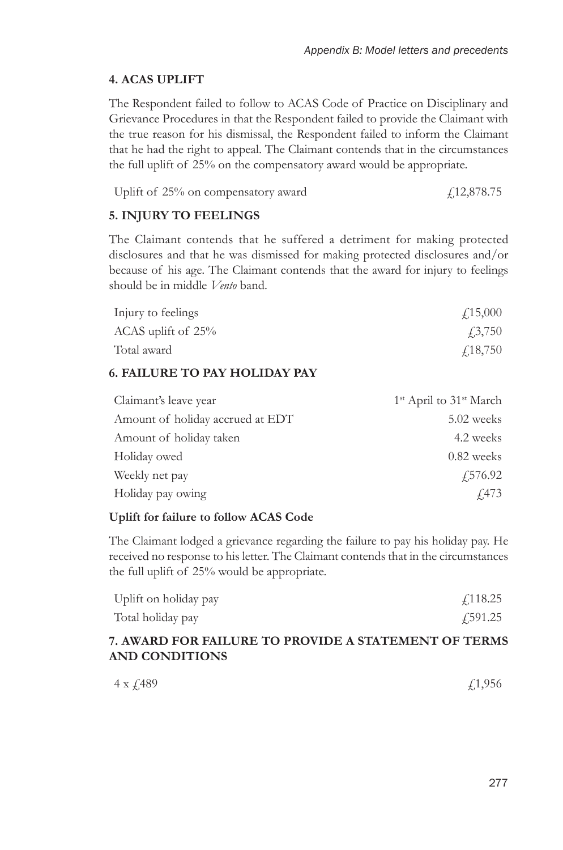## **4. ACAS UPLIFT**

The Respondent failed to follow to ACAS Code of Practice on Disciplinary and Grievance Procedures in that the Respondent failed to provide the Claimant with the true reason for his dismissal, the Respondent failed to inform the Claimant that he had the right to appeal. The Claimant contends that in the circumstances the full uplift of 25% on the compensatory award would be appropriate.

```
Uplift of 25% on compensatory award \qquad\qquad\qquad\qquad [12,878.75
```
#### **5. INJURY TO FEELINGS**

The Claimant contends that he suffered a detriment for making protected disclosures and that he was dismissed for making protected disclosures and/or because of his age. The Claimant contends that the award for injury to feelings should be in middle *Vento* band.

| Injury to feelings | $\angle 15,000$ |
|--------------------|-----------------|
| ACAS uplift of 25% | <i>43,750</i>   |
| Total award        | $\angle 18,750$ |

### **6. FAILURE TO PAY HOLIDAY PAY**

| Claimant's leave year            | 1 <sup>st</sup> April to 31 <sup>st</sup> March |
|----------------------------------|-------------------------------------------------|
| Amount of holiday accrued at EDT | 5.02 weeks                                      |
| Amount of holiday taken          | 4.2 weeks                                       |
| Holiday owed                     | $0.82$ weeks                                    |
| Weekly net pay                   | £576.92                                         |
| Holiday pay owing                | $\sqrt{473}$                                    |

#### **Uplift for failure to follow ACAS Code**

The Claimant lodged a grievance regarding the failure to pay his holiday pay. He received no response to his letter. The Claimant contends that in the circumstances the full uplift of 25% would be appropriate.

| Uplift on holiday pay | f 118.25 |
|-----------------------|----------|
| Total holiday pay     | f 591.25 |

#### **7. AWARD FOR FAILURE TO PROVIDE A STATEMENT OF TERMS AND CONDITIONS**